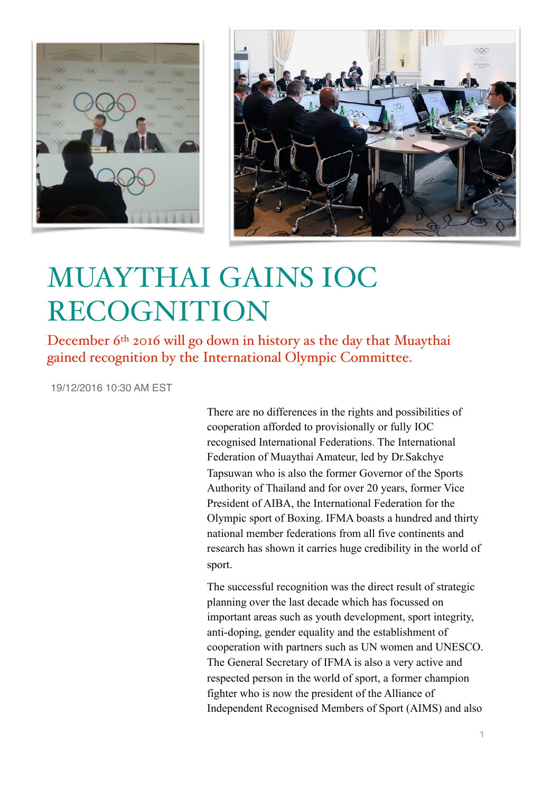



## MUAYTHAI GAINS IOC RECOGNITION

December 6<sup>th</sup> 2016 will go down in history as the day that Muaythai gained recognition by the International Olympic Committee.

19/12/2016 10:30 AM EST

There are no differences in the rights and possibilities of cooperation afforded to provisionally or fully IOC recognised International Federations. The International Federation of Muaythai Amateur, led by Dr.Sakchye Tapsuwan who is also the former Governor of the Sports Authority of Thailand and for over 20 years, former Vice President of AIBA, the International Federation for the Olympic sport of Boxing. IFMA boasts a hundred and thirty national member federations from all five continents and research has shown it carries huge credibility in the world of sport.

The successful recognition was the direct result of strategic planning over the last decade which has focussed on important areas such as youth development, sport integrity, anti-doping, gender equality and the establishment of cooperation with partners such as UN women and UNESCO. The General Secretary of IFMA is also a very active and respected person in the world of sport, a former champion fighter who is now the president of the Alliance of Independent Recognised Members of Sport (AIMS) and also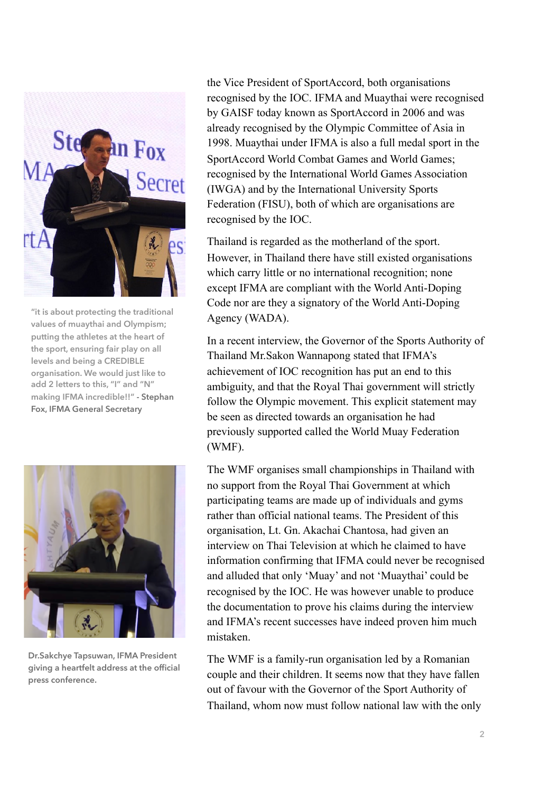

**"it is about protecting the traditional values of muaythai and Olympism; putting the athletes at the heart of the sport, ensuring fair play on all levels and being a CREDIBLE organisation. We would just like to add 2 letters to this, "I" and "N" making IFMA incredible!!" - Stephan Fox, IFMA General Secretary**



**Dr.Sakchye Tapsuwan, IFMA President giving a heartfelt address at the official press conference.**

the Vice President of SportAccord, both organisations recognised by the IOC. IFMA and Muaythai were recognised by GAISF today known as SportAccord in 2006 and was already recognised by the Olympic Committee of Asia in 1998. Muaythai under IFMA is also a full medal sport in the SportAccord World Combat Games and World Games; recognised by the International World Games Association (IWGA) and by the International University Sports Federation (FISU), both of which are organisations are recognised by the IOC.

Thailand is regarded as the motherland of the sport. However, in Thailand there have still existed organisations which carry little or no international recognition; none except IFMA are compliant with the World Anti-Doping Code nor are they a signatory of the World Anti-Doping Agency (WADA).

In a recent interview, the Governor of the Sports Authority of Thailand Mr.Sakon Wannapong stated that IFMA's achievement of IOC recognition has put an end to this ambiguity, and that the Royal Thai government will strictly follow the Olympic movement. This explicit statement may be seen as directed towards an organisation he had previously supported called the World Muay Federation (WMF).

The WMF organises small championships in Thailand with no support from the Royal Thai Government at which participating teams are made up of individuals and gyms rather than official national teams. The President of this organisation, Lt. Gn. Akachai Chantosa, had given an interview on Thai Television at which he claimed to have information confirming that IFMA could never be recognised and alluded that only 'Muay' and not 'Muaythai' could be recognised by the IOC. He was however unable to produce the documentation to prove his claims during the interview and IFMA's recent successes have indeed proven him much mistaken.

The WMF is a family-run organisation led by a Romanian couple and their children. It seems now that they have fallen out of favour with the Governor of the Sport Authority of Thailand, whom now must follow national law with the only